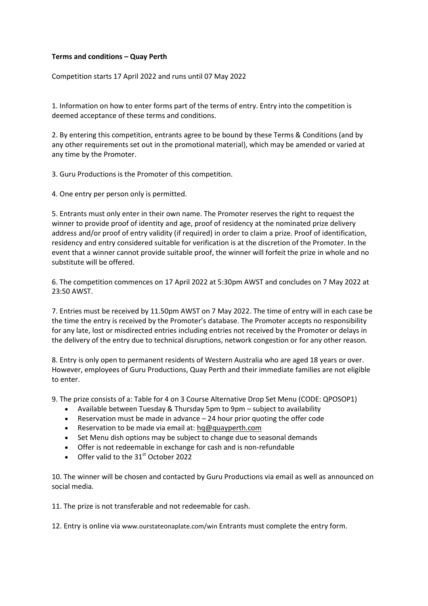## **Terms and conditions – Quay Perth**

Competition starts 17 April 2022 and runs until 07 May 2022

1. Information on how to enter forms part of the terms of entry. Entry into the competition is deemed acceptance of these terms and conditions.

2. By entering this competition, entrants agree to be bound by these Terms & Conditions (and by any other requirements set out in the promotional material), which may be amended or varied at any time by the Promoter.

3. Guru Productions is the Promoter of this competition.

4. One entry per person only is permitted.

5. Entrants must only enter in their own name. The Promoter reserves the right to request the winner to provide proof of identity and age, proof of residency at the nominated prize delivery address and/or proof of entry validity (if required) in order to claim a prize. Proof of identification, residency and entry considered suitable for verification is at the discretion of the Promoter. In the event that a winner cannot provide suitable proof, the winner will forfeit the prize in whole and no substitute will be offered.

6. The competition commences on 17 April 2022 at 5:30pm AWST and concludes on 7 May 2022 at 23:50 AWST.

7. Entries must be received by 11.50pm AWST on 7 May 2022. The time of entry will in each case be the time the entry is received by the Promoter's database. The Promoter accepts no responsibility for any late, lost or misdirected entries including entries not received by the Promoter or delays in the delivery of the entry due to technical disruptions, network congestion or for any other reason.

8. Entry is only open to permanent residents of Western Australia who are aged 18 years or over. However, employees of Guru Productions, Quay Perth and their immediate families are not eligible to enter.

9. The prize consists of a: Table for 4 on 3 Course Alternative Drop Set Menu (CODE: QPOSOP1)

- Available between Tuesday & Thursday 5pm to 9pm subject to availability
- Reservation must be made in advance 24 hour prior quoting the offer code
- **•** Reservation to be made via email at: [hq@quayperth.com](mailto:hq@quayperth.com)
- Set Menu dish options may be subject to change due to seasonal demands
- Offer is not redeemable in exchange for cash and is non-refundable
- $\bullet$  Offer valid to the 31<sup>st</sup> October 2022

10. The winner will be chosen and contacted by Guru Productions via email as well as announced on social media.

11. The prize is not transferable and not redeemable for cash.

12. Entry is online via www.ourstateonaplate.com/win Entrants must complete the entry form.